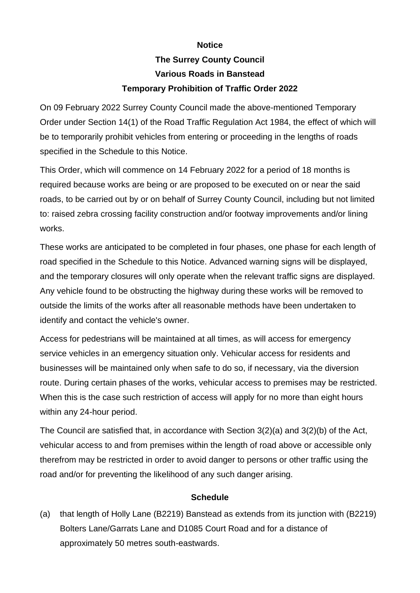## **Notice**

## **The Surrey County Council Various Roads in Banstead Temporary Prohibition of Traffic Order 2022**

On 09 February 2022 Surrey County Council made the above-mentioned Temporary Order under Section 14(1) of the Road Traffic Regulation Act 1984, the effect of which will be to temporarily prohibit vehicles from entering or proceeding in the lengths of roads specified in the Schedule to this Notice.

This Order, which will commence on 14 February 2022 for a period of 18 months is required because works are being or are proposed to be executed on or near the said roads, to be carried out by or on behalf of Surrey County Council, including but not limited to: raised zebra crossing facility construction and/or footway improvements and/or lining works.

These works are anticipated to be completed in four phases, one phase for each length of road specified in the Schedule to this Notice. Advanced warning signs will be displayed, and the temporary closures will only operate when the relevant traffic signs are displayed. Any vehicle found to be obstructing the highway during these works will be removed to outside the limits of the works after all reasonable methods have been undertaken to identify and contact the vehicle's owner.

Access for pedestrians will be maintained at all times, as will access for emergency service vehicles in an emergency situation only. Vehicular access for residents and businesses will be maintained only when safe to do so, if necessary, via the diversion route. During certain phases of the works, vehicular access to premises may be restricted. When this is the case such restriction of access will apply for no more than eight hours within any 24-hour period.

The Council are satisfied that, in accordance with Section 3(2)(a) and 3(2)(b) of the Act, vehicular access to and from premises within the length of road above or accessible only therefrom may be restricted in order to avoid danger to persons or other traffic using the road and/or for preventing the likelihood of any such danger arising.

## **Schedule**

(a) that length of Holly Lane (B2219) Banstead as extends from its junction with (B2219) Bolters Lane/Garrats Lane and D1085 Court Road and for a distance of approximately 50 metres south-eastwards.